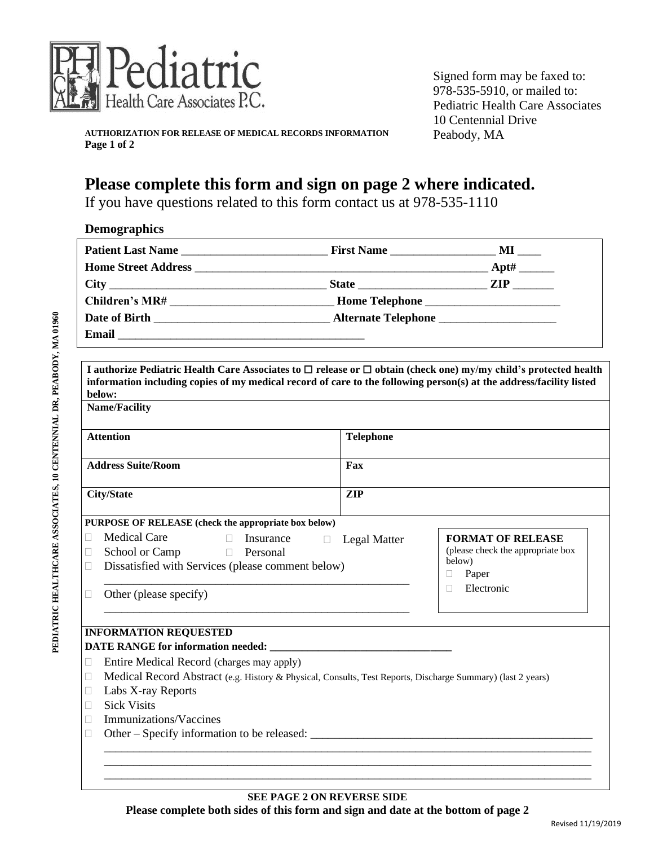

Signed form may be faxed to: 978-535-5910, or mailed to: Pediatric Health Care Associates 10 Centennial Drive Peabody, MA

**AUTHORIZATION FOR RELEASE OF MEDICAL RECORDS INFORMATION Page 1 of 2**

## **Please complete this form and sign on page 2 where indicated.**

If you have questions related to this form contact us at 978-535-1110

|        | I authorize Pediatric Health Care Associates to $\Box$ release or $\Box$ obtain (check one) my/my child's protected health    |                               |                                             |  |  |
|--------|-------------------------------------------------------------------------------------------------------------------------------|-------------------------------|---------------------------------------------|--|--|
|        | information including copies of my medical record of care to the following person(s) at the address/facility listed<br>below: |                               |                                             |  |  |
|        | <b>Name/Facility</b>                                                                                                          |                               |                                             |  |  |
|        |                                                                                                                               |                               |                                             |  |  |
|        | <b>Attention</b>                                                                                                              | <b>Telephone</b>              |                                             |  |  |
|        | <b>Address Suite/Room</b>                                                                                                     | Fax                           |                                             |  |  |
|        | <b>City/State</b>                                                                                                             | <b>ZIP</b>                    |                                             |  |  |
|        |                                                                                                                               |                               |                                             |  |  |
|        | PURPOSE OF RELEASE (check the appropriate box below)                                                                          |                               |                                             |  |  |
| Ш      | <b>Medical Care</b><br>$\Box$ Insurance                                                                                       | $\Box$<br><b>Legal Matter</b> | <b>FORMAT OF RELEASE</b>                    |  |  |
| $\Box$ | School or Camp D Personal                                                                                                     |                               | (please check the appropriate box<br>below) |  |  |
| $\Box$ | Dissatisfied with Services (please comment below)                                                                             |                               | Paper<br>$\Box$                             |  |  |
| $\Box$ | Other (please specify)                                                                                                        |                               | Electronic<br>$\Box$                        |  |  |
|        |                                                                                                                               |                               |                                             |  |  |
|        |                                                                                                                               |                               |                                             |  |  |
|        | <b>INFORMATION REQUESTED</b>                                                                                                  |                               |                                             |  |  |
|        |                                                                                                                               |                               |                                             |  |  |
| $\Box$ | Entire Medical Record (charges may apply)                                                                                     |                               |                                             |  |  |
| $\Box$ | Medical Record Abstract (e.g. History & Physical, Consults, Test Reports, Discharge Summary) (last 2 years)                   |                               |                                             |  |  |
| $\Box$ | Labs X-ray Reports                                                                                                            |                               |                                             |  |  |
|        | <b>Sick Visits</b>                                                                                                            |                               |                                             |  |  |
| L      | Immunizations/Vaccines                                                                                                        |                               |                                             |  |  |
|        |                                                                                                                               |                               |                                             |  |  |